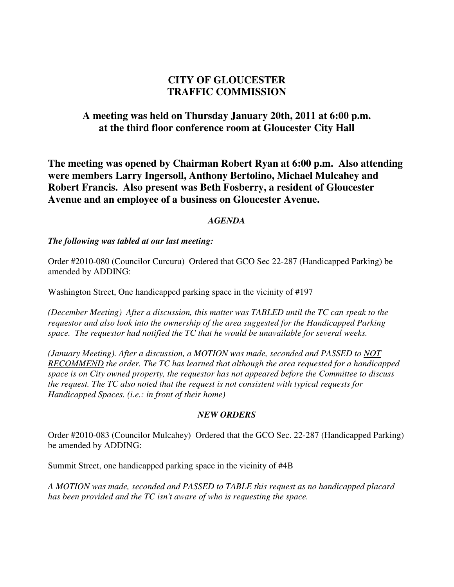# **CITY OF GLOUCESTER TRAFFIC COMMISSION**

# **A meeting was held on Thursday January 20th, 2011 at 6:00 p.m. at the third floor conference room at Gloucester City Hall**

**The meeting was opened by Chairman Robert Ryan at 6:00 p.m. Also attending were members Larry Ingersoll, Anthony Bertolino, Michael Mulcahey and Robert Francis. Also present was Beth Fosberry, a resident of Gloucester Avenue and an employee of a business on Gloucester Avenue.** 

### *AGENDA*

### *The following was tabled at our last meeting:*

Order #2010-080 (Councilor Curcuru) Ordered that GCO Sec 22-287 (Handicapped Parking) be amended by ADDING:

Washington Street, One handicapped parking space in the vicinity of #197

*(December Meeting) After a discussion, this matter was TABLED until the TC can speak to the requestor and also look into the ownership of the area suggested for the Handicapped Parking space. The requestor had notified the TC that he would be unavailable for several weeks.* 

*(January Meeting). After a discussion, a MOTION was made, seconded and PASSED to NOT RECOMMEND the order. The TC has learned that although the area requested for a handicapped space is on City owned property, the requestor has not appeared before the Committee to discuss the request. The TC also noted that the request is not consistent with typical requests for Handicapped Spaces. (i.e.: in front of their home)* 

### *NEW ORDERS*

Order #2010-083 (Councilor Mulcahey) Ordered that the GCO Sec. 22-287 (Handicapped Parking) be amended by ADDING:

Summit Street, one handicapped parking space in the vicinity of #4B

*A MOTION was made, seconded and PASSED to TABLE this request as no handicapped placard has been provided and the TC isn't aware of who is requesting the space.*